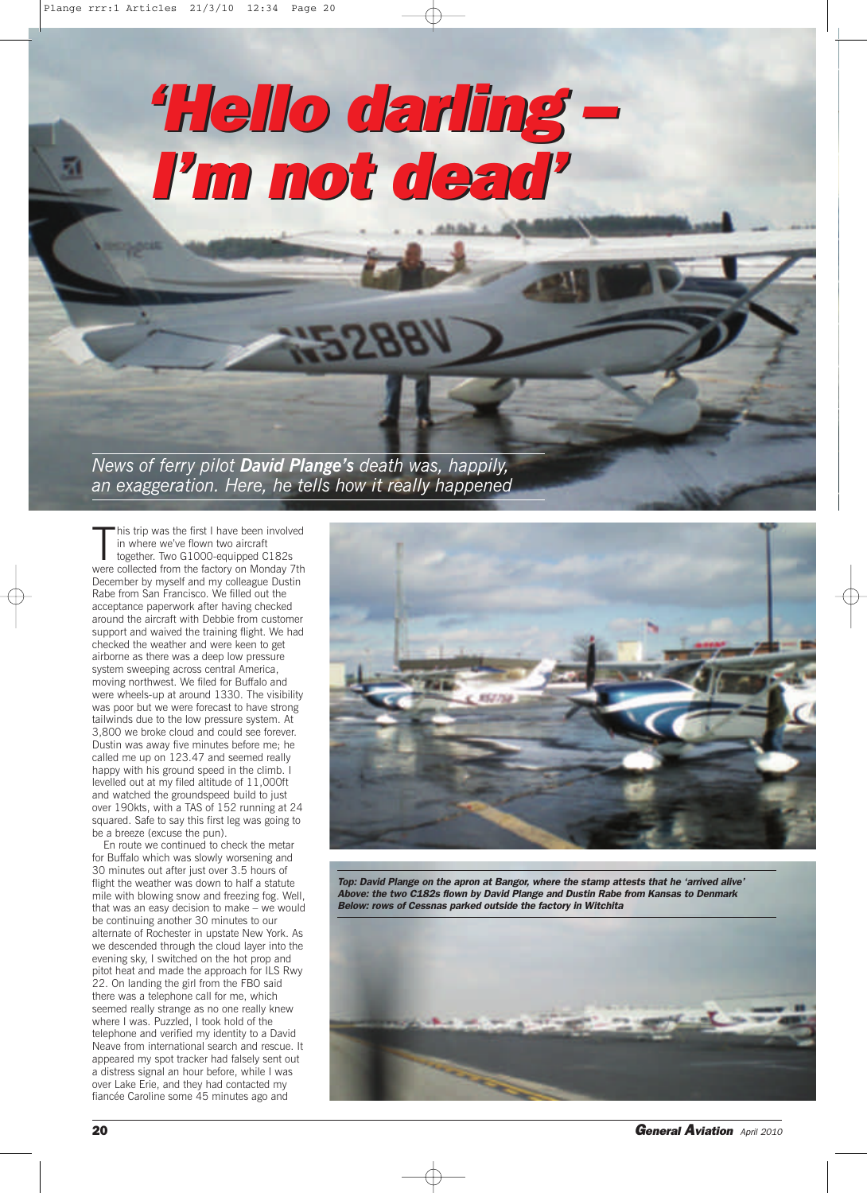# *'Hello darling – 'Hello darling – I'm not dead' I'm not dead'*

*News of ferry pilot David Plange's death was, happily, an exaggeration. Here, he tells how it really happened*

This trip was the first I have been involved<br>in where we've flown two aircraft<br>together. Two G1000-equipped C182s<br>were collected from the factory on Monday 7th his trip was the first I have been involved in where we've flown two aircraft together. Two G1000-equipped C182s December by myself and my colleague Dustin Rabe from San Francisco. We filled out the acceptance paperwork after having checked around the aircraft with Debbie from customer support and waived the training flight. We had checked the weather and were keen to get airborne as there was a deep low pressure system sweeping across central America, moving northwest. We filed for Buffalo and were wheels-up at around 1330. The visibility was poor but we were forecast to have strong tailwinds due to the low pressure system. At 3,800 we broke cloud and could see forever. Dustin was away five minutes before me; he called me up on 123.47 and seemed really happy with his ground speed in the climb. I levelled out at my filed altitude of 11,000ft and watched the groundspeed build to just over 190kts, with a TAS of 152 running at 24 squared. Safe to say this first leg was going to be a breeze (excuse the pun).

En route we continued to check the metar for Buffalo which was slowly worsening and 30 minutes out after just over 3.5 hours of flight the weather was down to half a statute mile with blowing snow and freezing fog. Well, that was an easy decision to make – we would be continuing another 30 minutes to our alternate of Rochester in upstate New York. As we descended through the cloud layer into the evening sky, I switched on the hot prop and pitot heat and made the approach for ILS Rwy 22. On landing the girl from the FBO said there was a telephone call for me, which seemed really strange as no one really knew where I was. Puzzled, I took hold of the telephone and verified my identity to a David Neave from international search and rescue. It appeared my spot tracker had falsely sent out a distress signal an hour before, while I was over Lake Erie, and they had contacted my fiancée Caroline some 45 minutes ago and



*Top: David Plange on the apron at Bangor, where the stamp attests that he 'arrived alive' Above: the two C182s flown by David Plange and Dustin Rabe from Kansas to Denmark Below: rows of Cessnas parked outside the factory in Witchita*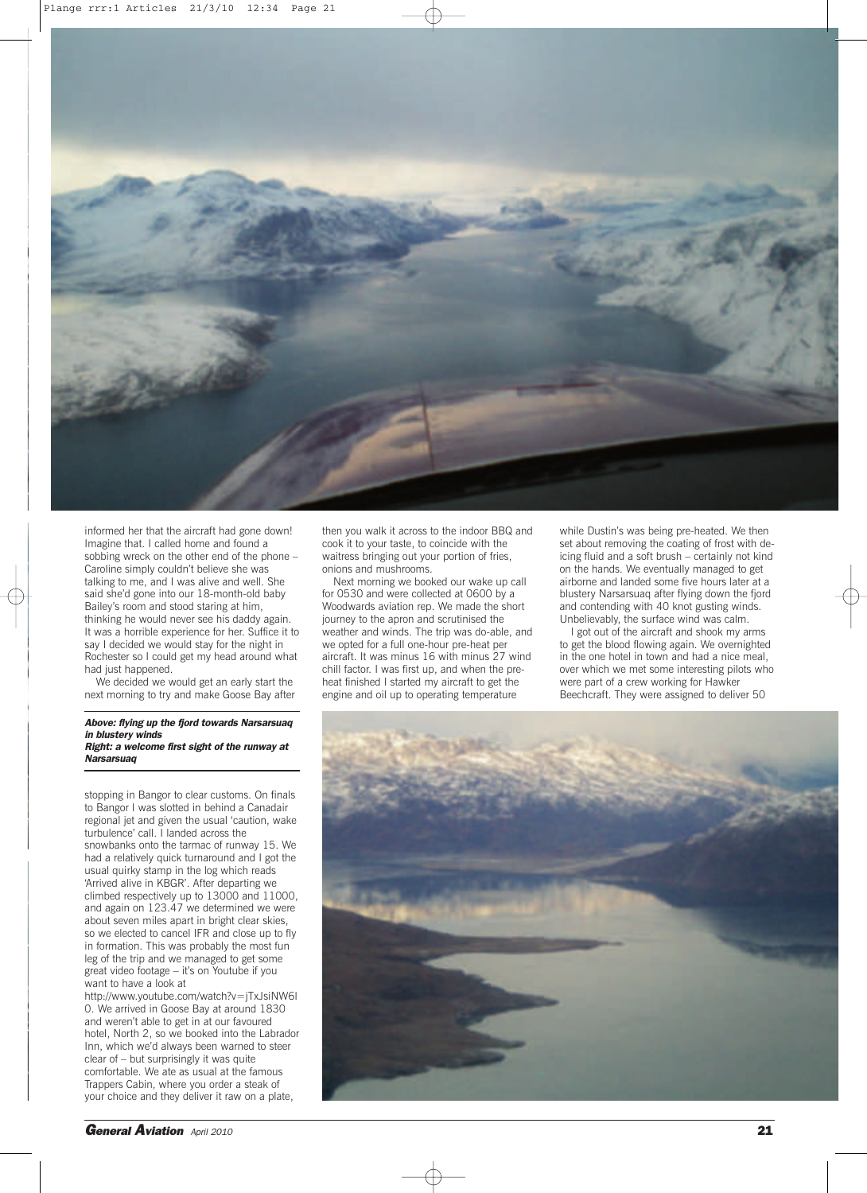

informed her that the aircraft had gone down! Imagine that. I called home and found a sobbing wreck on the other end of the phone – Caroline simply couldn't believe she was talking to me, and I was alive and well. She said she'd gone into our 18-month-old baby Bailey's room and stood staring at him, thinking he would never see his daddy again. It was a horrible experience for her. Suffice it to say I decided we would stay for the night in Rochester so I could get my head around what had just happened.

We decided we would get an early start the next morning to try and make Goose Bay after

#### *Above: flying up the fjord towards Narsarsuaq in blustery winds Right: a welcome first sight of the runway at Narsarsuaq*

stopping in Bangor to clear customs. On finals to Bangor I was slotted in behind a Canadair regional jet and given the usual 'caution, wake turbulence' call. I landed across the snowbanks onto the tarmac of runway 15. We had a relatively quick turnaround and I got the usual quirky stamp in the log which reads 'Arrived alive in KBGR'. After departing we climbed respectively up to 13000 and 11000, and again on 123.47 we determined we were about seven miles apart in bright clear skies, so we elected to cancel IFR and close up to fly in formation. This was probably the most fun leg of the trip and we managed to get some great video footage – it's on Youtube if you want to have a look at

http://www.youtube.com/watch?v=jTxJsiNW6l 0. We arrived in Goose Bay at around 1830 and weren't able to get in at our favoured hotel, North 2, so we booked into the Labrador Inn, which we'd always been warned to steer clear of – but surprisingly it was quite comfortable. We ate as usual at the famous Trappers Cabin, where you order a steak of your choice and they deliver it raw on a plate,

then you walk it across to the indoor BBQ and cook it to your taste, to coincide with the waitress bringing out your portion of fries, onions and mushrooms.

Next morning we booked our wake up call for 0530 and were collected at 0600 by a Woodwards aviation rep. We made the short journey to the apron and scrutinised the weather and winds. The trip was do-able, and we opted for a full one-hour pre-heat per aircraft. It was minus 16 with minus 27 wind chill factor. I was first up, and when the preheat finished I started my aircraft to get the engine and oil up to operating temperature

while Dustin's was being pre-heated. We then set about removing the coating of frost with deicing fluid and a soft brush – certainly not kind on the hands. We eventually managed to get airborne and landed some five hours later at a blustery Narsarsuaq after flying down the fjord and contending with 40 knot gusting winds. Unbelievably, the surface wind was calm.

I got out of the aircraft and shook my arms to get the blood flowing again. We overnighted in the one hotel in town and had a nice meal, over which we met some interesting pilots who were part of a crew working for Hawker Beechcraft. They were assigned to deliver 50

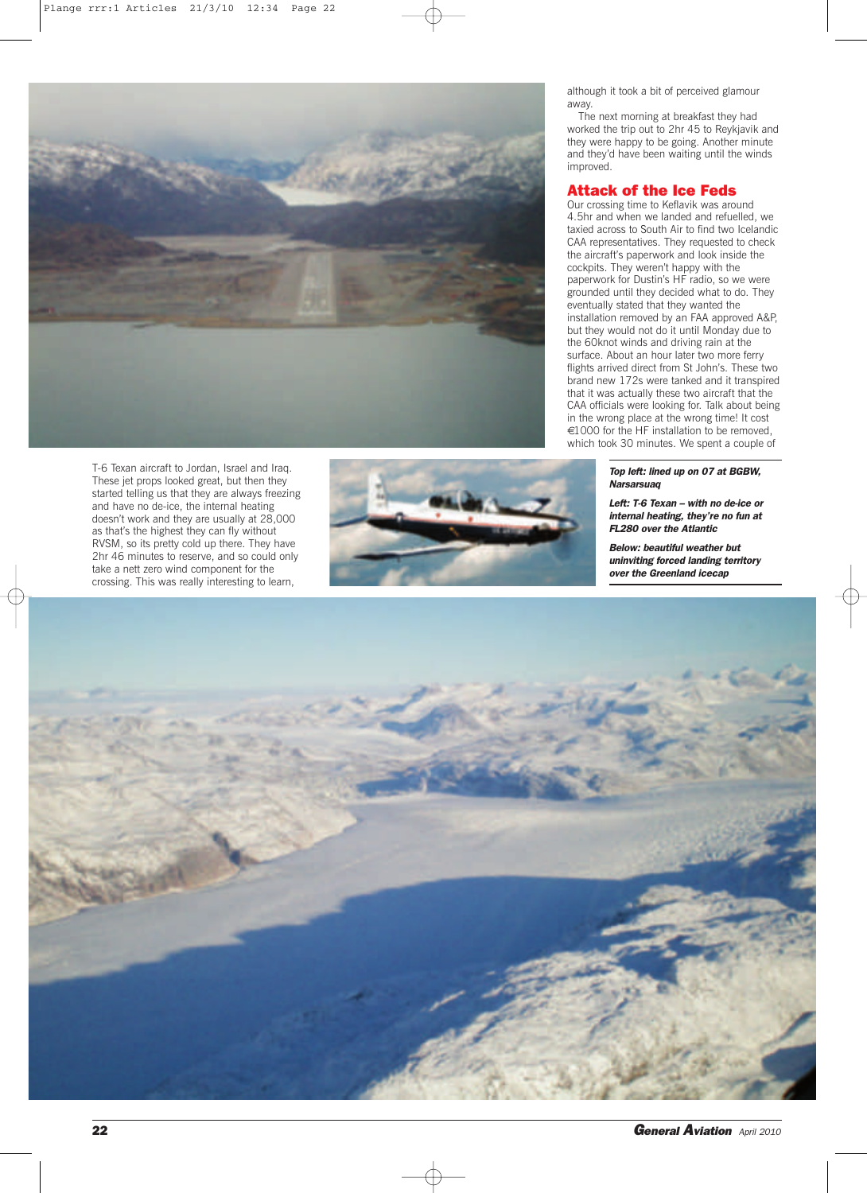

T-6 Texan aircraft to Jordan, Israel and Iraq. These jet props looked great, but then they started telling us that they are always freezing and have no de-ice, the internal heating doesn't work and they are usually at 28,000 as that's the highest they can fly without RVSM, so its pretty cold up there. They have 2hr 46 minutes to reserve, and so could only take a nett zero wind component for the crossing. This was really interesting to learn,



although it took a bit of perceived glamour away.

The next morning at breakfast they had worked the trip out to 2hr 45 to Reykjavik and they were happy to be going. Another minute and they'd have been waiting until the winds improved.

## **Attack of the Ice Feds**

Our crossing time to Keflavik was around 4.5hr and when we landed and refuelled, we taxied across to South Air to find two Icelandic CAA representatives. They requested to check the aircraft's paperwork and look inside the cockpits. They weren't happy with the paperwork for Dustin's HF radio, so we were grounded until they decided what to do. They eventually stated that they wanted the installation removed by an FAA approved A&P, but they would not do it until Monday due to the 60knot winds and driving rain at the surface. About an hour later two more ferry flights arrived direct from St John's. These two brand new 172s were tanked and it transpired that it was actually these two aircraft that the CAA officials were looking for. Talk about being in the wrong place at the wrong time! It cost €1000 for the HF installation to be removed, which took 30 minutes. We spent a couple of

> *Top left: lined up on 07 at BGBW, Narsarsuaq*

*Left: T-6 Texan – with no de-ice or internal heating, they're no fun at FL280 over the Atlantic*

*Below: beautiful weather but uninviting forced landing territory over the Greenland icecap*